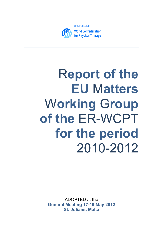

# R**eport of the EU** M**atters** W**orking** G**roup of the** ER-WCPT **for the period** 2010-2012

ADOPTED at the **General Meeting 17-19 May 2012 St. Julians, Malta**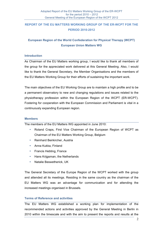# **REPORT OF THE EU MATTERS WORKING GROUP OF THE ER-WCPT FOR THE PERIOD 2010-2012**

# **European Region of the World Confederation for Physical Therapy (WCPT) European Union Matters WG**

#### **Introduction**

As Chairman of the EU Matters working group, I would like to thank all members of the group for the appreciated work delivered at this General Meeting. Also, I would like to thank the General Secretary, the Member Organisations and the members of the EU Matters Working Group for their efforts of sustaining the important work.

The main objectives of the EU Working Group are to maintain a high profile and to be a permanent observatory to new and changing regulations and issues related to the physiotherapy profession within the European Region of the WCPT (ER-WCPT). Fostering for cooperation with the European Commission and Parliament is vital in a continuously expanding European region.

#### **Members**

The members of the EU Matters WG appointed in June 2010:

- Roland Craps, First Vice Chairman of the European Region of WCPT as Chairman of the EU Matters Working Group, Belgium
- Reinhard Beirkircher, Austria
- Anna Kukka, Finland
- Francis Hebting, France
- Hans Krijgsman, the Netherlands
- Natalie Beswetherick, UK

The General Secretary of the Europe Region of the WCPT worked with the group and attended all its meetings. Residing in the same country as the chairman of the EU Matters WG was an advantage for communication and for attending the increased meetings organised in Brussels.

#### **Terms of Reference and activities**

The EU Matters WG established a working plan for implementation of the recommended actions and activities approved by the General Meeting in Berlin in 2010 within the timescale and with the aim to present the reports and results at the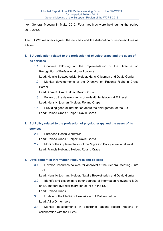next General Meeting in Malta 2012. Four meetings were held during the period 2010-2012.

The EU WG members agreed the activities and the distribution of responsibilities as follows:

- **1. EU Legislation related to the profession of physiotherapy and the users of its services**
	- 1.1. Continue following up the implementation of the Directive on Recognition of Professional qualifications
		- Lead: Natalie Beswetherick / Helper: Hans Krijgsman and David Gorria
	- 1.2. Monitor developments of the Directive on Patients Right in Cross Border

Lead: Anna Kukka / Helper: David Gorría

- 1.3. Follow up the developments of e-Health legislation at EU level Lead: Hans Krijgsman / Helper: Roland Craps
- 1.4. Providing general information about the enlargement of the EU Lead: Roland Craps / Helper: David Gorría

# **2. EU Policy related to the profession of physiotherapy and the users of its services.**

- 2.1. European Health Workforce
	- Lead: Roland Craps / Helper: David Gorría
- 2.2. Monitor the implementation of the Migration Policy at national level Lead: Francis Hebting / Helper: Roland Craps

# **3. Development of information resources and policies**

3.1. Develop resources/policies for approval at the General Meeting / Info Tool

Lead: Hans Krijgsman / Helper: Natalie Beswetherick and David Gorría

- 3.2. Identify and disseminate other sources of information relevant to MOs on EU matters (Monitor migration of PTs in the EU ) Lead: Roland Craps
- 3.3. Update of the ER-WCPT website EU Matters button Lead: All WG members
- 3.4. Monitor developments in electronic patient record keeping in collaboration with the PI WG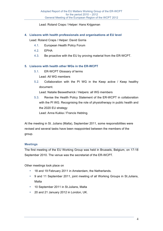Lead: Roland Craps / Helper: Hans Krijgsman

**4. Liaisons with health professionals and organisations at EU level**

Lead: Roland Craps / Helper: David Gorria

- 4.1. European Health Policy Forum
- 4.2. EPHA
- 4.3. Be proactive with the EU by proving material from the ER-WCPT.

## **5. Liaisons with health other WGs in the ER-WCPT**

- 5.1. ER-WCPT Glossary of terms
	- Lead: All WG members
- 5.2. Collaboration with the PI WG in the Keep active / Keep healthy document.

Lead: Natalie Beswetherick / Helpers: all WG members

5.3. Revise the Health Policy Statement of the ER-WCPT in collaboration with the PI WG. Recognising the role of physiotherapy in public health and the 2020 EU strategy Lead: Anna Kukka / Francis Hebting.

At the meeting in St. Julians (Malta), September 2011, some responsibilities were revised and several tasks have been reappointed between the members of the

#### **Meetings**

group.

The first meeting of the EU Working Group was held in Brussels, Belgium, on 17-18 September 2010. The venue was the secretariat of the ER-WCPT.

Other meetings took place on

- 18 and 19 February 2011 in Amsterdam, the Netherlands.
- 9 and 11 September 2011, joint meeting of all Working Groups in St.Julians, Malta
- 10 September 2011 in St.Julians, Malta
- 20 and 21 January 2012 in London, UK.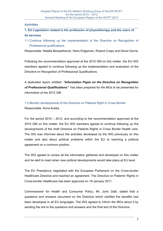#### **Activities**

# **1. EU Legislation related to the profession of physiotherapy and the users of its services**

1.1 Continue following up the implementation of the Directive on Recognition of Professional qualifications

Responsible: Natalie Beswetherick, Hans Krijgsman, Roland Craps and David Gorría

Following the recommendation approved at the 2010 GM on this matter, the EU WG members agreed to continue following up the implementation and evaluation of the Directive on Recognition of Professional Qualifications.

A dedicated report, entitled: *"Information Paper on the Directive on Recognition of Professional Qualifications"* has been prepared for the MOs to be presented for information at the 2012 GM

1.2 Monitor developments of the Directive on Patients Right in Cross Border Responsible: Anna Kukka

For the period 2010 – 2012, and according to the recommendation approved at the 2010 GM on this matter, the EU WG members agreed to continue following up the developments of the draft Directive on Patients Rights in Cross Border Health care. The WG was informed about the activities developed by the WG previously on this matter and also about political problems within the EU to reaching a political agreement on a common position.

The WG agreed to review all the information gathered and developed on this matter and be alert to react when new political developments would take place at EU level.

The EU Presidency negotiated with the European Parliament on the Cross-border Healthcare Directive and reached an agreement. The Directive on Patients' Rights in Cross-border Healthcare has been approved on 19 January 2011.

Commissioner for Health and Consumer Policy, Mr. John Dalli, stated that a questions and answers document on the Directive which clarified the benefits had been developed in all EU languages. The WG agreed to inform the MOs about it by sending the link to the questions and answers and the final text of the Directive.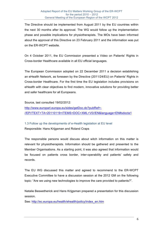The Directive should be implemented from August 2011 by the EU countries within the next 30 months after its approval. The WG would follow up the implementation phase and possible implications for physiotherapists. The MOs have been informed about the approval of this Directive on 23 February 2011 and the information was put on the ER-WCPT website.

On 4 October 2011, the EU Commission presented a Video on Patients' Rights in Cross-border Healthcare available in all EU official languages.

The European Commission adopted on 22 December 2011 a decision establishing an eHealth Network, as foreseen by the Directive (2011/24/EU) on Patients' Rights in Cross-border Healthcare. For the first time the EU legislation includes provisions on eHealth with clear objectives to find modern, innovative solutions for providing better and safer healthcare for all Europeans.

Source, last consulted 19/02/2012:

http://www.europarl.europa.eu/sides/getDoc.do?pubRef=- //EP//TEXT+TA+20110119+ITEMS+DOC+XML+V0//EN&language=EN#sdocta1

1.3 Follow up the developments of e-Health legislation at EU level Responsible: Hans Krijgsman and Roland Craps

The responsible persons would discuss about witch information on this matter is relevant for physiotherapists. Information should be gathered and presented to the Member Organisations. As a starting point, it was also agreed that information would be focused on patients cross border, inter-operability and patients' safety and records.

The EU WG discussed this matter and agreed to recommend to the ER-WCPT Executive Committee to have a discussion session at the 2012 GM on the following topic: "Are we using new technologies to improve the care provided to patients?".

Natalie Beswetherick and Hans Krijgsman prepared a presentation for this discussion session.

See: http://ec.europa.eu/health/ehealth/policy/index\_en.htm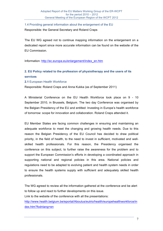1.4 Providing general information about the enlargement of the EU Responsible: the General Secretary and Roland Craps

The EU WG agreed not to continue mapping information on the enlargement on a dedicated report since more accurate information can be found on the website of the EU Commission.

Information: http://ec.europa.eu/enlargement/index\_en.htm

# **2. EU Policy related to the profession of physiotherapy and the users of its services**

#### **2.1** European Health Workforce

Responsible: Roland Craps and Anna Kukka (as of September 2011)

A Ministerial Conference on the EU Health Workforce took place on 9 - 10 September 2010, in Brussels, Belgium. The two day Conference was organised by the Belgian Presidency of the EU and entitled: Investing in Europe's health workforce of tomorrow: scope for innovation and collaboration. Roland Craps attended it.

EU Member States are facing common challenges in ensuring and maintaining an adequate workforce to meet the changing and growing health needs. Due to this reason the Belgian Presidency of the EU Council has decided to draw political priority, in the field of health, to the need to invest in sufficient, motivated and wellskilled health professionals. For this reason, the Presidency organised the conference on this subject, to further raise the awareness for the problem and to support the European Commission's efforts in developing a coordinated approach in supporting national and regional policies in this area. National policies and regulations need to be adapted to evolving patient and health system needs in order to ensure the health systems supply with sufficient and adequately skilled health professionals.

The WG agreed to review all the information gathered at the conference and be alert to follow up and react to further developments on this issue.

Link to the website of the conference with all the presentations:

http://www.health.belgium.be/eportal/Aboutus/eutrio/health/europehealthworkforce/in dex.htm?fodnlang=en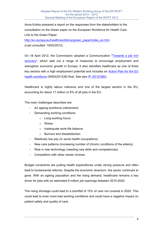Anna Kukka prepared a report on the responses from the stakeholders to the consultation on the Green paper on the European Workforce for Health Care. Link to the Green Paper:

http://ec.europa.eu/health/workforce/green\_paper/index\_en.htm

(Last consulted: 19/02/2012)

On 18 April 2012, the Commission adopted a Communication "Towards a job rich recovery", which sets out a range of measures to encourage employment and strengthen economic growth in Europe. It also identifies healthcare as one of three key sectors with a high employment potential and includes an Action Plan for the EU health workforce (SWD(2012)93 final. See also IP /2012/380).

Healthcare is highly labour intensive and one of the largest sectors in the EU, accounting for about 17 million or 8% of all jobs in the EU.

The main challenges described are:

- An ageing workforce (retirement)
- Demanding working conditions
	- o Long working hours
	- o Stress
	- o Inadequate work-life balance
	- o Burnout and dissatisfaction
- Relatively low pay (in some health occupations)
- New care patterns (increasing number of chronic conditions of the elderly)
- Rise in new technology (needing new skills and competencies)
- Competition with other career choices

Budget constraints are putting health expenditures under strong pressure and often lead to fundamental reforms. Despite the economic downturn, the sector continues to grow. With an ageing population and the rising demand, healthcare remains a key driver for jobs with an estimated 8 million job openings between 2010-2020.

The rising shortage could lead to a shortfall of 15% of care not covered in 2020. This could lead to even more bad working conditions and could have a negative impact on patient safety and quality of care.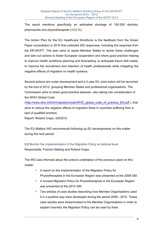The report mentions specifically an estimated shortage of 150.000 dentists, pharmacists and physiotherapists (13,5 %).

The Action Plan for the EU Healthcare Workforce is the feedback from the Green Paper consultation in 2010 that collected 200 responses, including the response from the ER-WCPT. The plan aims to assist Member States to tackle these challenges and sets out actions to foster European cooperation and share good practice helping to improve health workforce planning and forecasting, to anticipate future skill needs, to improve the recruitment and retention of health professionals while mitigating the negative effects of migration on health systems.

Several actions are under development and a 3 year EU Joint action will be launched by the end of 2012, grouping Member States and professional organisations. The Commission aims to share good practice between, also taking into consideration of the WHO Global Code

(http://www.who.int/hrh/migration/code/WHO\_global\_code\_of\_practice\_EN.pdf ), that aims to reduce the negative effects of migration flows in countries suffering from a lack of qualified workers.

Report: Roland Craps, 5/5/2012

The EU Matters WG recommends following up EU developments on this matter during the next period.

**2.2** Monitor the implementation of the Migration Policy at national level

Responsible: Francis Hebting and Roland Craps

The WG was informed about the actions undertaken of the previous years on this matter:

- A report on the implementation of the Migration Policy for Physiotherapists in the European Region was presented at the 2008 GM.
- A revised Migration Policy for Physiotherapists in the European Region was presented at the 2010 GM.
- Two articles of case studies describing how Member Organisations used it in a positive way were developed during the period 2008 - 2010. These case studies were disseminated to the Member Organisations in order to explain how/why the Migration Policy can be used by them.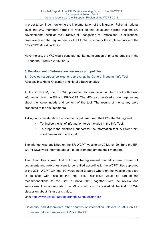In order to continue monitoring the implementation of the Migration Policy at national level, the WG members agreed to reflect on this issue and agreed that the EU developments, such as the Directive of Recognition of Professional Qualifications, have overtaken the requirement for the EU WG to monitor the implementation of the ER-WCPT Migration Policy.

Nevertheless, the WG would continue monitoring migration of physiotherapists in the EU and the Directive 2005/36/EC.

#### **3. Development of information resources and policies**

3.1 Develop resources/policies for approval at the General Meeting / Info Tool Responsible: Hans Krijgsman and Natalie Beswetherick

At the 2010 GM, the EU WG presented for discussion an Info Tool with basic information from the EU and ER-WCPT. The MOs also received a one page survey about the value, needs and content of the tool. The results of the survey were presented to the WG members.

Taking into consideration the comments gathered from the MOs, the WG agreed:

- To finalise the list of information to be included in the Info Tool.
- To prepare the electronic support for the information tool. A PowerPoint short presentation and a pdf.

The info tool was published on the ER-WCPT website on 30 March 2011and the ER-WCPT MOs were informed about it to be promoted among their members.

The Committee agreed that following the agreement that all current ER-WCPT documents and new ones were to be retitled according to the WCPT titles approved at the 2011 WCPT GM, the EC would need to agree where on the website these are to be sited with links to the Info Tool. This issue would be part of the recommendations to the GM in Malta 2012, together with the review and improvement as appropriate. The MOs would also be asked at the GM EU WG discussion about it's use and value.

Link: http://www.physio-europe.org/index.php?action=158

3.2 Identify and disseminate other sources of information relevant to MOs on EU matters (Monitor migration of PTs in the EU)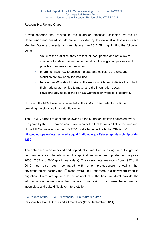#### Responsible: Roland Craps

It was reported that related to the migration statistics, collected by the EU Commission and based on information provided by the national authorities in each Member State, a presentation took place at the 2010 GM highlighting the following points:

- Value of the statistics: they are factual, not updated and not allow to conclude trends on migration neither about the migration process and possible compensation measures
- Informing MOs how to access the data and calculate the relevant statistics as they apply for their use.
- Role of the MOs should take on the responsibility and initiative to contact their national authorities to make sure the information about Physiotherapy as published on EU Commission website is accurate.

However, the MOs have recommended at the GM 2010 in Berlin to continue providing the statistics in an identical way.

The EU WG agreed to continue following up the Migration statistics collected every two years by the EU Commission. It was also noted that there is a link to the website of the EU Commission on the ER-WCPT website under the button 'Statistics': http://ec.europa.eu/internal\_market/qualifications/regprof/stats/dsp\_stats.cfm?profId= 1250

The data have been retrieved and copied into Excel-files, showing the net migration per member state. The total amount of applications have been updated for the years 2008, 2009 and 2010 (preliminary data). The overall total migration from 1997 until 2010 has also been compared with other professionals, showing that physiotherapists occupy the  $4<sup>th</sup>$  place overall, but that there is a downward trend in migration. There are quite a lot of competent authorities that don't provide the information on the website of the European Commission. This makes the information incomplete and quite difficult for interpretation.

#### 3.3 Update of the ER-WCPT website – EU Matters button

Responsible David Gorría and all members (from September 2011).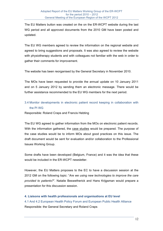The EU Matters button was created on the on the ER-WCPT website during the last WG period and all approved documents from the 2010 GM have been posted and updated.

The EU WG members agreed to review the information on the regional website and agreed to bring suggestions and proposals. It was also agreed to review the website with physiotherapy students and with colleagues not familiar with the web in order to gather their comments for improvement.

The website has been reorganised by the General Secretary in November 2010.

The MOs have been requested to provide the annual update on 10 January 2011 and on 5 January 2012 by sending them an electronic message. There would be further assistance recommended to the EU WG members for the next period.

# 3.4 Monitor developments in electronic patient record keeping in collaboration with the PI WG

Responsible: Roland Craps and Francis Hebting

The EU WG agreed to gather information from the MOs on electronic patient records. With the information gathered, the case studies would be prepared. The purpose of the case studies would be to inform MOs about good practices on this issue. The draft document would be sent for evaluation and/or collaboration to the Professional Issues Working Group.

Some drafts have been developed (Belgium, France) and it was the idea that these would be included in the ER-WCPT newsletter.

However, the EU Matters proposes to the EC to have a discussion session at the 2012 GM on the following topic: "*Are we using new technologies to improve the care provided to patients?*". Natalie Beswetherick and Hans Krijgsman would prepare a presentation for this discussion session.

## **4. Liaisons with health professionals and organisations at EU level**

4.1 And 4.2 European Health Policy Forum and European Public Health Alliance Responsible: the General Secretary and Roland Craps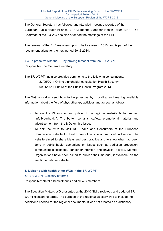The General Secretary has followed and attended meetings reported of the European Public Health Alliance (EPHA) and the European Health Forum (EHF). The Chairman of the EU WG has also attended the meetings of the EHF.

The renewal of the EHF membership is to be foreseen in 2013, and is part of the recommendations for the next period 2012-2014.

4.3 Be proactive with the EU by proving material from the ER-WCPT.

Responsible: the General Secretary

The ER-WCPT has also provided comments to the following consultations:

- 23/05/2011 Online stakeholder consultation Health Security
- 09/06/2011 Future of the Public Health Program 2013

The WG also discussed how to be proactive by providing and making available information about the field of physiotherapy activities and agreed as follows:

- To ask the PI WG for an update of the regional website button named "Info4yourhealth". The button contains leaflets, promotional material and advertisement from the MOs on this issue.
- To ask the MOs to visit DG Health and Consumers of the European Commission website for health promotion videos produced in Europe. The website aimed to share ideas and best practice and to show what had been done in public health campaigns on issues such as addiction prevention, communicable diseases, cancer or nutrition and physical activity. Member Organisations have been asked to publish their material, if available, on the mentioned above website.

## **5. Liaisons with health other WGs in the ER-WCPT**

## 5.1 ER-WCPT Glossary of terms

Responsible: Natalie Beswetherick and all WG members

The Education Matters WG presented at the 2010 GM a reviewed and updated ER-WCPT glossary of terms. The purpose of the regional glossary was to include the definitions needed for the regional documents. It was not created as a dictionary.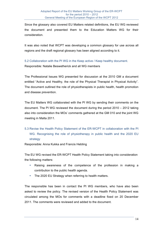Since the glossary also covered EU Matters related definitions, the EU WG reviewed the document and presented them to the Education Matters WG for their consideration.

It was also noted that WCPT was developing a common glossary for use across all regions and the draft regional glossary has been aligned according to it.

5.2 Collaboration with the PI WG in the Keep active / Keep healthy document.

Responsible: Natalie Beswetherick and all WG members

The Professional Issues WG presented for discussion at the 2010 GM a document entitled "Active and Healthy, the role of the Physical Therapist in Physical Activity". The document outlined the role of physiotherapists in public health, health promotion and disease prevention.

The EU Matters WG collaborated with the PI WG by sending their comments on the document. The PI WG reviewed the document during the period 2010 – 2012 taking also into consideration the MOs' comments gathered at the GM 010 and the joint WG meeting in Malta 2011.

5.3 Revise the Health Policy Statement of the ER-WCPT in collaboration with the PI WG. Recognising the role of physiotherapy in public health and the 2020 EU strategy

Responsible: Anna Kukka and Francis Hebting

The EU WG revised the ER-WCPT Health Policy Statement taking into consideration the following matters:

- Raising awareness of the competence of the profession in making a contribution to the public health agenda.
- The 2020 EU Strategy when referring to health matters.

The responsible has been in contact the PI WG members, who have also been asked to review the policy. The revised version of the Health Policy Statement was circulated among the MOs for comments with a deadline fixed on 20 December 2011. The comments were reviewed and added to the document.